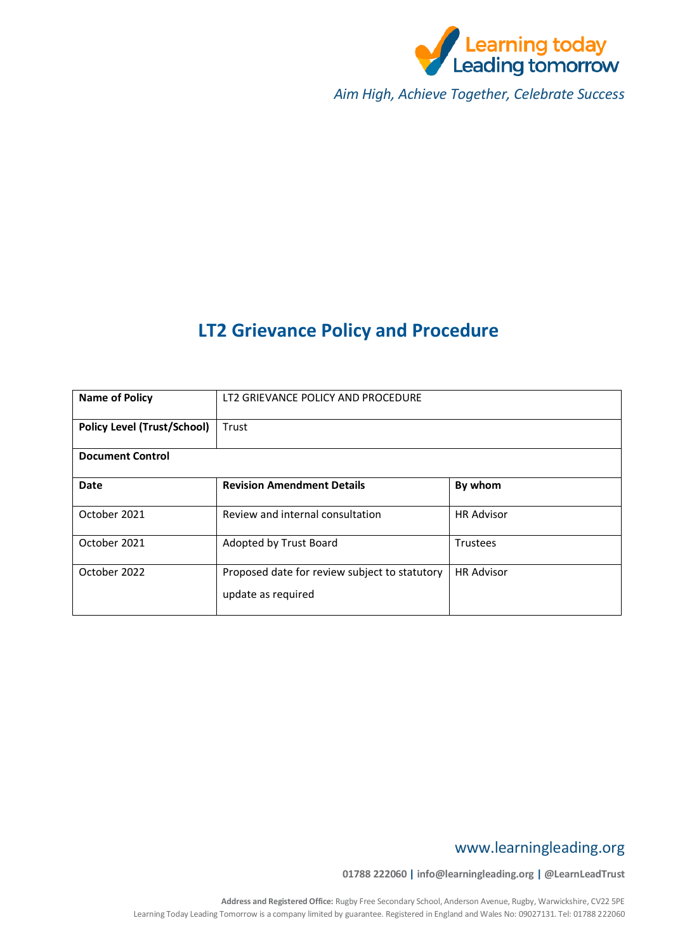

*Aim High, Achieve Together, Celebrate Success*

# **LT2 Grievance Policy and Procedure**

| <b>Name of Policy</b>              | LT2 GRIEVANCE POLICY AND PROCEDURE                                  |                   |  |
|------------------------------------|---------------------------------------------------------------------|-------------------|--|
| <b>Policy Level (Trust/School)</b> | Trust                                                               |                   |  |
| <b>Document Control</b>            |                                                                     |                   |  |
| Date                               | <b>Revision Amendment Details</b>                                   | By whom           |  |
| October 2021                       | Review and internal consultation                                    | <b>HR Advisor</b> |  |
| October 2021                       | Adopted by Trust Board                                              | Trustees          |  |
| October 2022                       | Proposed date for review subject to statutory<br>update as required | <b>HR Advisor</b> |  |

## www.learningleading.org

**01788 222060 | info@learningleading.org | @LearnLeadTrust**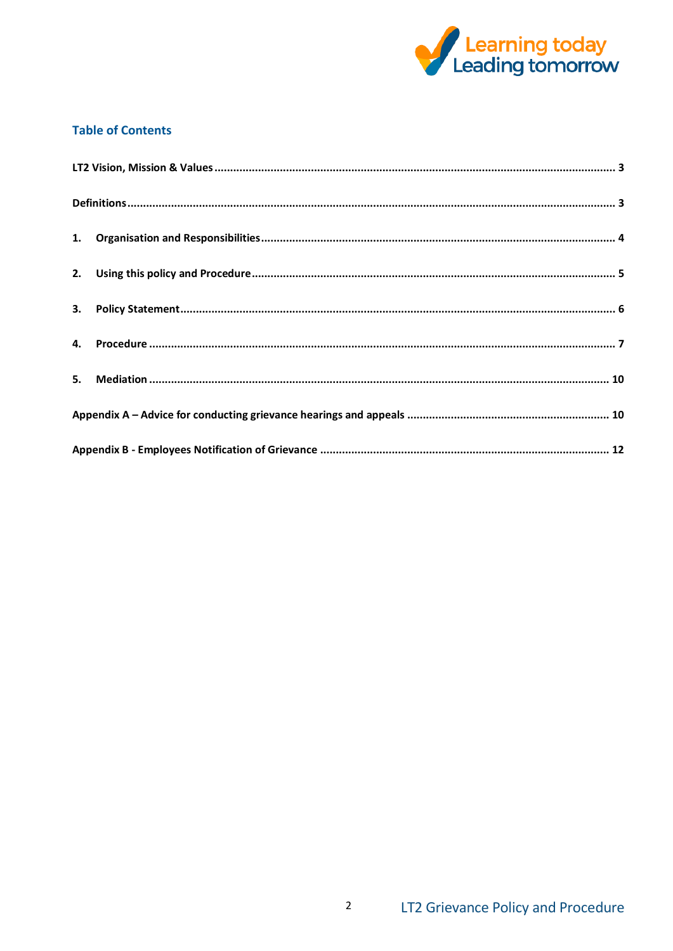

## **Table of Contents**

 $\overline{a}$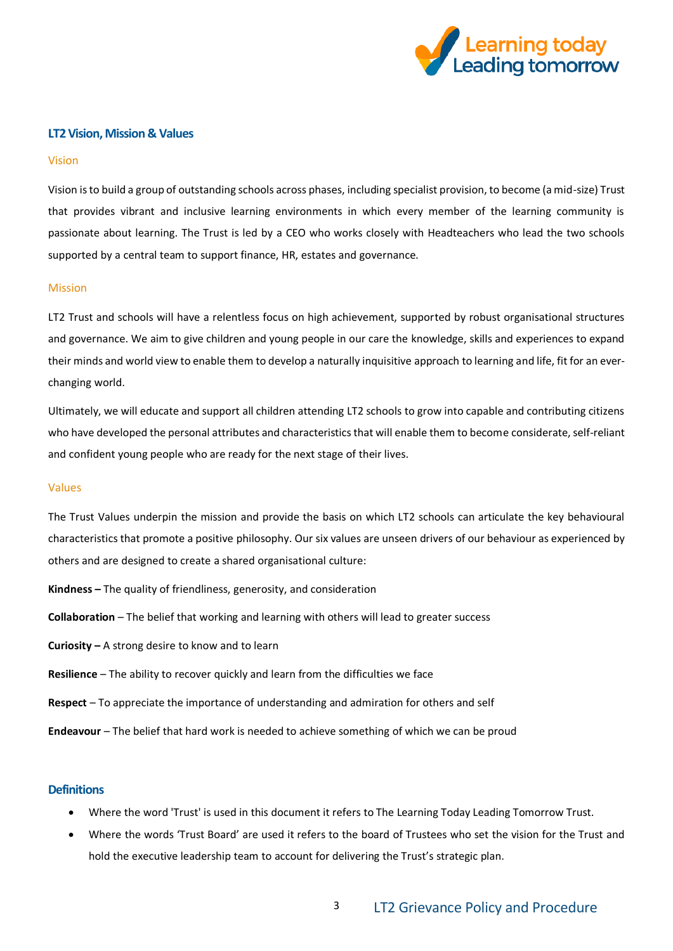

#### <span id="page-2-0"></span>**LT2 Vision, Mission & Values**

#### Vision

Vision is to build a group of outstanding schools across phases, including specialist provision, to become (a mid-size) Trust that provides vibrant and inclusive learning environments in which every member of the learning community is passionate about learning. The Trust is led by a CEO who works closely with Headteachers who lead the two schools supported by a central team to support finance, HR, estates and governance.

#### Mission

LT2 Trust and schools will have a relentless focus on high achievement, supported by robust organisational structures and governance. We aim to give children and young people in our care the knowledge, skills and experiences to expand their minds and world view to enable them to develop a naturally inquisitive approach to learning and life, fit for an everchanging world.

Ultimately, we will educate and support all children attending LT2 schools to grow into capable and contributing citizens who have developed the personal attributes and characteristics that will enable them to become considerate, self-reliant and confident young people who are ready for the next stage of their lives.

#### Values

The Trust Values underpin the mission and provide the basis on which LT2 schools can articulate the key behavioural characteristics that promote a positive philosophy. Our six values are unseen drivers of our behaviour as experienced by others and are designed to create a shared organisational culture:

- **Kindness –** The quality of friendliness, generosity, and consideration
- **Collaboration** The belief that working and learning with others will lead to greater success
- **Curiosity –** A strong desire to know and to learn
- **Resilience** The ability to recover quickly and learn from the difficulties we face
- **Respect** To appreciate the importance of understanding and admiration for others and self

**Endeavour** – The belief that hard work is needed to achieve something of which we can be proud

#### <span id="page-2-1"></span>**Definitions**

- Where the word 'Trust' is used in this document it refers to The Learning Today Leading Tomorrow Trust.
- Where the words 'Trust Board' are used it refers to the board of Trustees who set the vision for the Trust and hold the executive leadership team to account for delivering the Trust's strategic plan.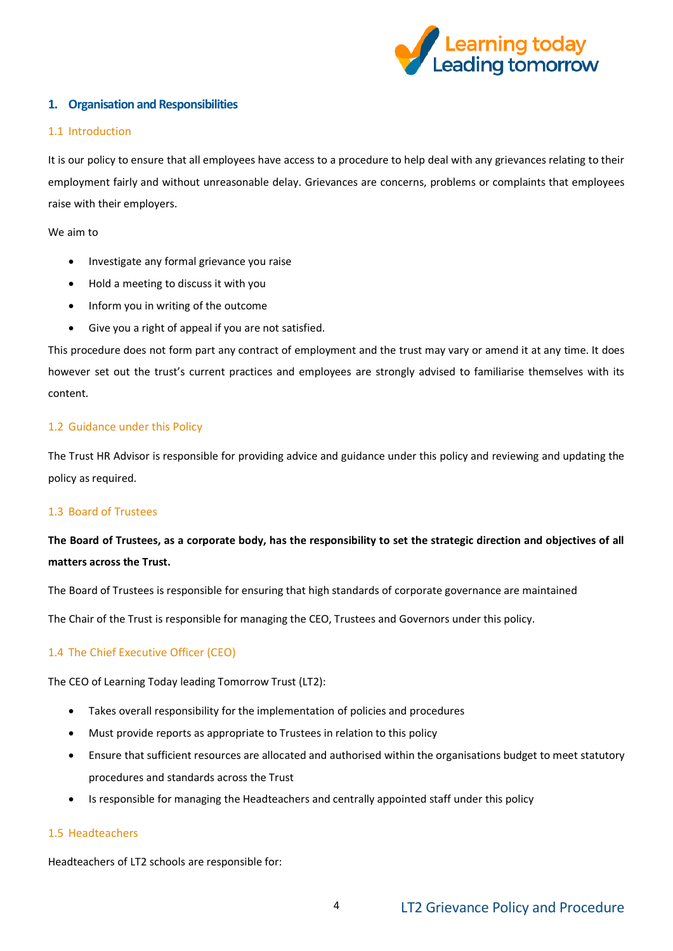

## <span id="page-3-0"></span>**1. Organisation and Responsibilities**

## 1.1 Introduction

It is our policy to ensure that all employees have access to a procedure to help deal with any grievances relating to their employment fairly and without unreasonable delay. Grievances are concerns, problems or complaints that employees raise with their employers.

We aim to

- Investigate any formal grievance you raise
- Hold a meeting to discuss it with you
- Inform you in writing of the outcome
- Give you a right of appeal if you are not satisfied.

This procedure does not form part any contract of employment and the trust may vary or amend it at any time. It does however set out the trust's current practices and employees are strongly advised to familiarise themselves with its content.

## 1.2 Guidance under this Policy

The Trust HR Advisor is responsible for providing advice and guidance under this policy and reviewing and updating the policy as required.

#### 1.3 Board of Trustees

## **The Board of Trustees, as a corporate body, has the responsibility to set the strategic direction and objectives of all matters across the Trust.**

The Board of Trustees is responsible for ensuring that high standards of corporate governance are maintained

The Chair of the Trust is responsible for managing the CEO, Trustees and Governors under this policy.

## 1.4 The Chief Executive Officer (CEO)

The CEO of Learning Today leading Tomorrow Trust (LT2):

- Takes overall responsibility for the implementation of policies and procedures
- Must provide reports as appropriate to Trustees in relation to this policy
- Ensure that sufficient resources are allocated and authorised within the organisations budget to meet statutory procedures and standards across the Trust
- Is responsible for managing the Headteachers and centrally appointed staff under this policy

## 1.5 Headteachers

Headteachers of LT2 schools are responsible for: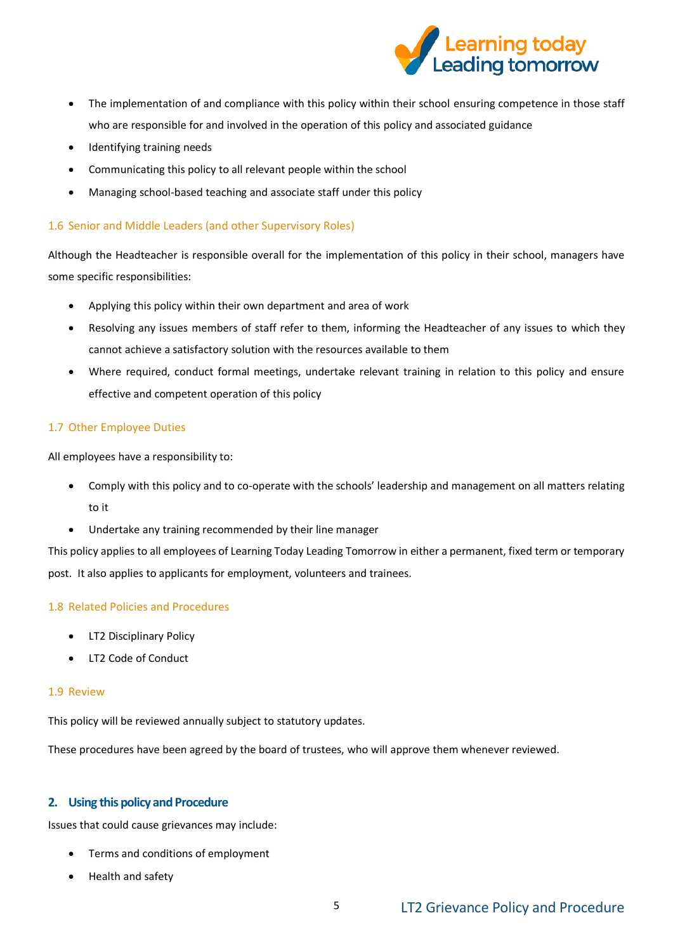

- The implementation of and compliance with this policy within their school ensuring competence in those staff who are responsible for and involved in the operation of this policy and associated guidance
- Identifying training needs
- Communicating this policy to all relevant people within the school
- Managing school-based teaching and associate staff under this policy

## 1.6 Senior and Middle Leaders (and other Supervisory Roles)

Although the Headteacher is responsible overall for the implementation of this policy in their school, managers have some specific responsibilities:

- Applying this policy within their own department and area of work
- Resolving any issues members of staff refer to them, informing the Headteacher of any issues to which they cannot achieve a satisfactory solution with the resources available to them
- Where required, conduct formal meetings, undertake relevant training in relation to this policy and ensure effective and competent operation of this policy

## 1.7 Other Employee Duties

All employees have a responsibility to:

- Comply with this policy and to co-operate with the schools' leadership and management on all matters relating to it
- Undertake any training recommended by their line manager

This policy applies to all employees of Learning Today Leading Tomorrow in either a permanent, fixed term or temporary post. It also applies to applicants for employment, volunteers and trainees.

## 1.8 Related Policies and Procedures

- LT2 Disciplinary Policy
- LT2 Code of Conduct

## 1.9 Review

This policy will be reviewed annually subject to statutory updates.

These procedures have been agreed by the board of trustees, who will approve them whenever reviewed.

## <span id="page-4-0"></span>**2. Using this policy and Procedure**

Issues that could cause grievances may include:

- Terms and conditions of employment
- Health and safety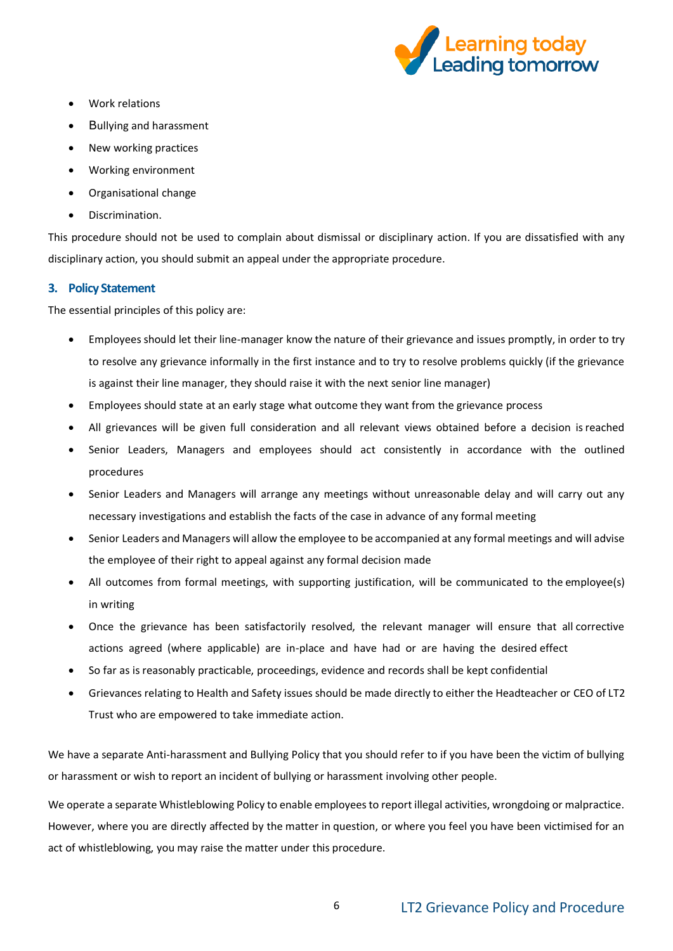

- Work relations
- Bullying and harassment
- New working practices
- Working environment
- Organisational change
- Discrimination.

This procedure should not be used to complain about dismissal or disciplinary action. If you are dissatisfied with any disciplinary action, you should submit an appeal under the appropriate procedure.

## <span id="page-5-0"></span>**3. Policy Statement**

The essential principles of this policy are:

- Employees should let their line-manager know the nature of their grievance and issues promptly, in order to try to resolve any grievance informally in the first instance and to try to resolve problems quickly (if the grievance is against their line manager, they should raise it with the next senior line manager)
- Employees should state at an early stage what outcome they want from the grievance process
- All grievances will be given full consideration and all relevant views obtained before a decision is reached
- Senior Leaders, Managers and employees should act consistently in accordance with the outlined procedures
- Senior Leaders and Managers will arrange any meetings without unreasonable delay and will carry out any necessary investigations and establish the facts of the case in advance of any formal meeting
- Senior Leaders and Managers will allow the employee to be accompanied at any formal meetings and will advise the employee of their right to appeal against any formal decision made
- All outcomes from formal meetings, with supporting justification, will be communicated to the employee(s) in writing
- Once the grievance has been satisfactorily resolved, the relevant manager will ensure that all corrective actions agreed (where applicable) are in-place and have had or are having the desired effect
- So far as is reasonably practicable, proceedings, evidence and records shall be kept confidential
- Grievances relating to Health and Safety issues should be made directly to either the Headteacher or CEO of LT2 Trust who are empowered to take immediate action.

We have a separate Anti-harassment and Bullying Policy that you should refer to if you have been the victim of bullying or harassment or wish to report an incident of bullying or harassment involving other people.

We operate a separate Whistleblowing Policy to enable employees to report illegal activities, wrongdoing or malpractice. However, where you are directly affected by the matter in question, or where you feel you have been victimised for an act of whistleblowing, you may raise the matter under this procedure.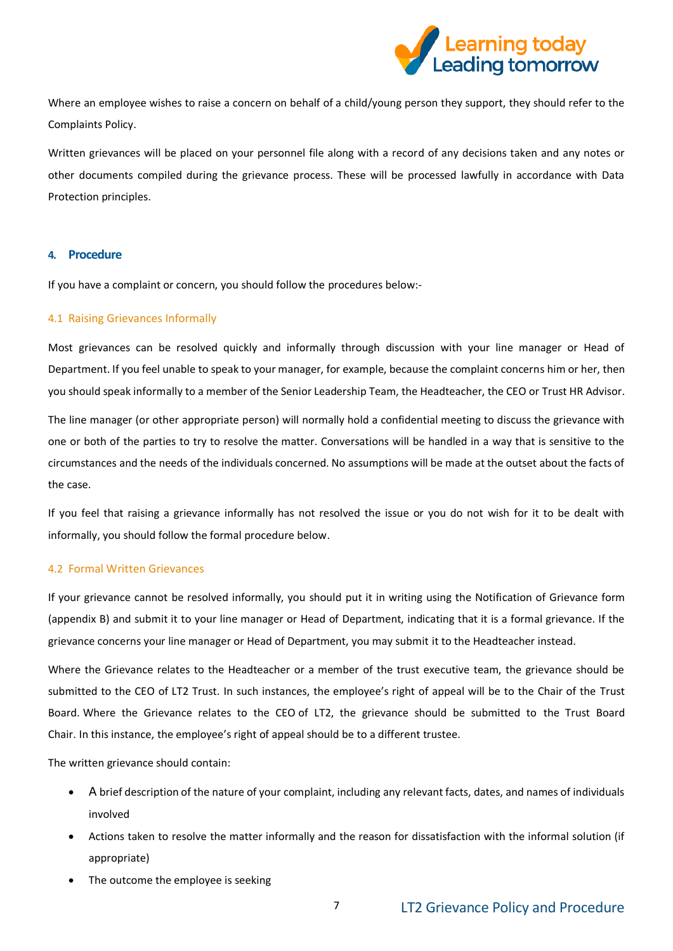

Where an employee wishes to raise a concern on behalf of a child/young person they support, they should refer to the Complaints Policy.

Written grievances will be placed on your personnel file along with a record of any decisions taken and any notes or other documents compiled during the grievance process. These will be processed lawfully in accordance with Data Protection principles.

#### <span id="page-6-0"></span>**4. Procedure**

If you have a complaint or concern, you should follow the procedures below:-

#### 4.1 Raising Grievances Informally

Most grievances can be resolved quickly and informally through discussion with your line manager or Head of Department. If you feel unable to speak to your manager, for example, because the complaint concerns him or her, then you should speak informally to a member of the Senior Leadership Team, the Headteacher, the CEO or Trust HR Advisor.

The line manager (or other appropriate person) will normally hold a confidential meeting to discuss the grievance with one or both of the parties to try to resolve the matter. Conversations will be handled in a way that is sensitive to the circumstances and the needs of the individuals concerned. No assumptions will be made at the outset about the facts of the case.

If you feel that raising a grievance informally has not resolved the issue or you do not wish for it to be dealt with informally, you should follow the formal procedure below.

#### 4.2 Formal Written Grievances

If your grievance cannot be resolved informally, you should put it in writing using the Notification of Grievance form (appendix B) and submit it to your line manager or Head of Department, indicating that it is a formal grievance. If the grievance concerns your line manager or Head of Department, you may submit it to the Headteacher instead.

Where the Grievance relates to the Headteacher or a member of the trust executive team, the grievance should be submitted to the CEO of LT2 Trust. In such instances, the employee's right of appeal will be to the Chair of the Trust Board. Where the Grievance relates to the CEO of LT2, the grievance should be submitted to the Trust Board Chair. In this instance, the employee's right of appeal should be to a different trustee.

The written grievance should contain:

- A brief description of the nature of your complaint, including any relevant facts, dates, and names of individuals involved
- Actions taken to resolve the matter informally and the reason for dissatisfaction with the informal solution (if appropriate)
- The outcome the employee is seeking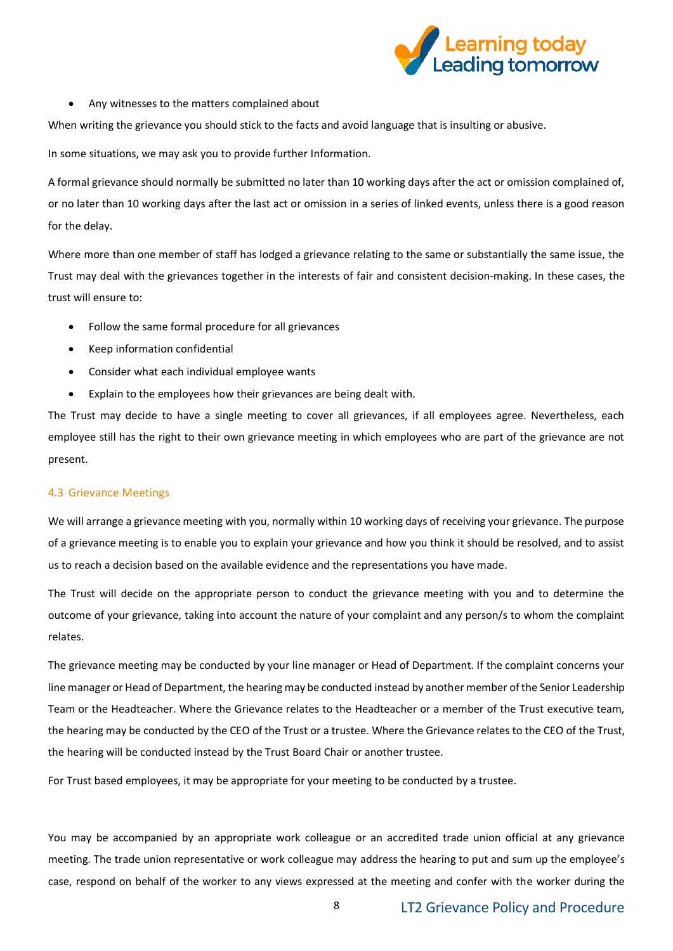

Any witnesses to the matters complained about

When writing the grievance you should stick to the facts and avoid language that is insulting or abusive.

In some situations, we may ask you to provide further Information.

A formal grievance should normally be submitted no later than 10 working days after the act or omission complained of, or no later than 10 working days after the last act or omission in a series of linked events, unless there is a good reason for the delay.

Where more than one member of staff has lodged a grievance relating to the same or substantially the same issue, the Trust may deal with the grievances together in the interests of fair and consistent decision-making. In these cases, the trust will ensure to:

- Follow the same formal procedure for all grievances
- Keep information confidential
- Consider what each individual employee wants
- Explain to the employees how their grievances are being dealt with.

The Trust may decide to have a single meeting to cover all grievances, if all employees agree. Nevertheless, each employee still has the right to their own grievance meeting in which employees who are part of the grievance are not present.

#### 4.3 Grievance Meetings

We will arrange a grievance meeting with you, normally within 10 working days of receiving your grievance. The purpose of a grievance meeting is to enable you to explain your grievance and how you think it should be resolved, and to assist us to reach a decision based on the available evidence and the representations you have made.

The Trust will decide on the appropriate person to conduct the grievance meeting with you and to determine the outcome of your grievance, taking into account the nature of your complaint and any person/s to whom the complaint relates.

The grievance meeting may be conducted by your line manager or Head of Department. If the complaint concerns your line manager or Head of Department, the hearing may be conducted instead by another member of the Senior Leadership Team or the Headteacher. Where the Grievance relates to the Headteacher or a member of the Trust executive team, the hearing may be conducted by the CEO of the Trust or a trustee. Where the Grievance relates to the CEO of the Trust, the hearing will be conducted instead by the Trust Board Chair or another trustee.

For Trust based employees, it may be appropriate for your meeting to be conducted by a trustee.

You may be accompanied by an appropriate work colleague or an accredited trade union official at any grievance meeting. The trade union representative or work colleague may address the hearing to put and sum up the employee's case, respond on behalf of the worker to any views expressed at the meeting and confer with the worker during the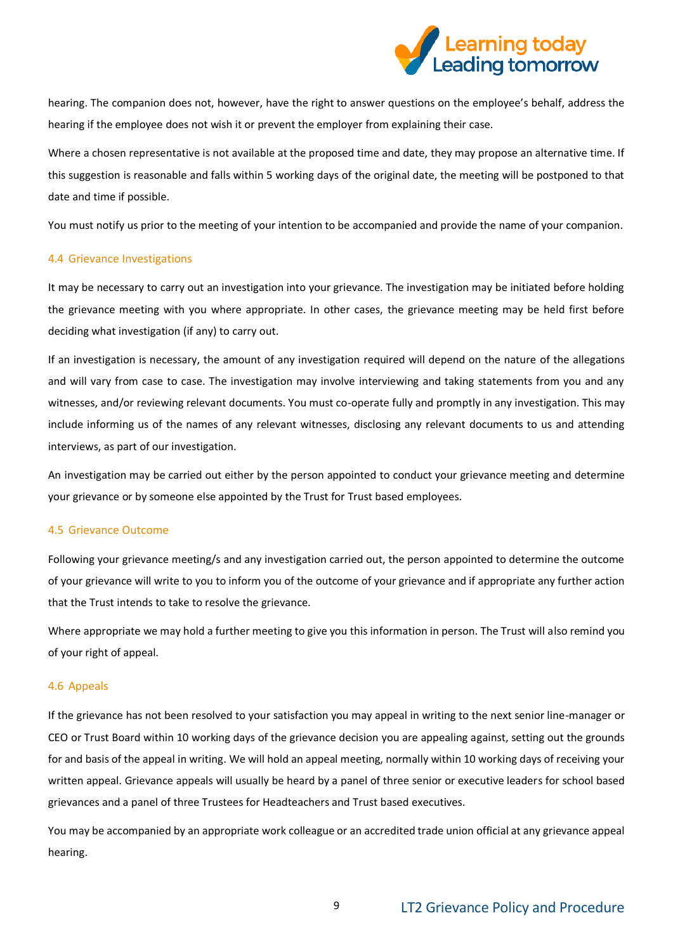

hearing. The companion does not, however, have the right to answer questions on the employee's behalf, address the hearing if the employee does not wish it or prevent the employer from explaining their case.

Where a chosen representative is not available at the proposed time and date, they may propose an alternative time. If this suggestion is reasonable and falls within 5 working days of the original date, the meeting will be postponed to that date and time if possible.

You must notify us prior to the meeting of your intention to be accompanied and provide the name of your companion.

#### 4.4 Grievance Investigations

It may be necessary to carry out an investigation into your grievance. The investigation may be initiated before holding the grievance meeting with you where appropriate. In other cases, the grievance meeting may be held first before deciding what investigation (if any) to carry out.

If an investigation is necessary, the amount of any investigation required will depend on the nature of the allegations and will vary from case to case. The investigation may involve interviewing and taking statements from you and any witnesses, and/or reviewing relevant documents. You must co-operate fully and promptly in any investigation. This may include informing us of the names of any relevant witnesses, disclosing any relevant documents to us and attending interviews, as part of our investigation.

An investigation may be carried out either by the person appointed to conduct your grievance meeting and determine your grievance or by someone else appointed by the Trust for Trust based employees.

#### 4.5 Grievance Outcome

Following your grievance meeting/s and any investigation carried out, the person appointed to determine the outcome of your grievance will write to you to inform you of the outcome of your grievance and if appropriate any further action that the Trust intends to take to resolve the grievance.

Where appropriate we may hold a further meeting to give you this information in person. The Trust will also remind you of your right of appeal.

#### 4.6 Appeals

If the grievance has not been resolved to your satisfaction you may appeal in writing to the next senior line-manager or CEO or Trust Board within 10 working days of the grievance decision you are appealing against, setting out the grounds for and basis of the appeal in writing. We will hold an appeal meeting, normally within 10 working days of receiving your written appeal. Grievance appeals will usually be heard by a panel of three senior or executive leaders for school based grievances and a panel of three Trustees for Headteachers and Trust based executives.

You may be accompanied by an appropriate work colleague or an accredited trade union official at any grievance appeal hearing.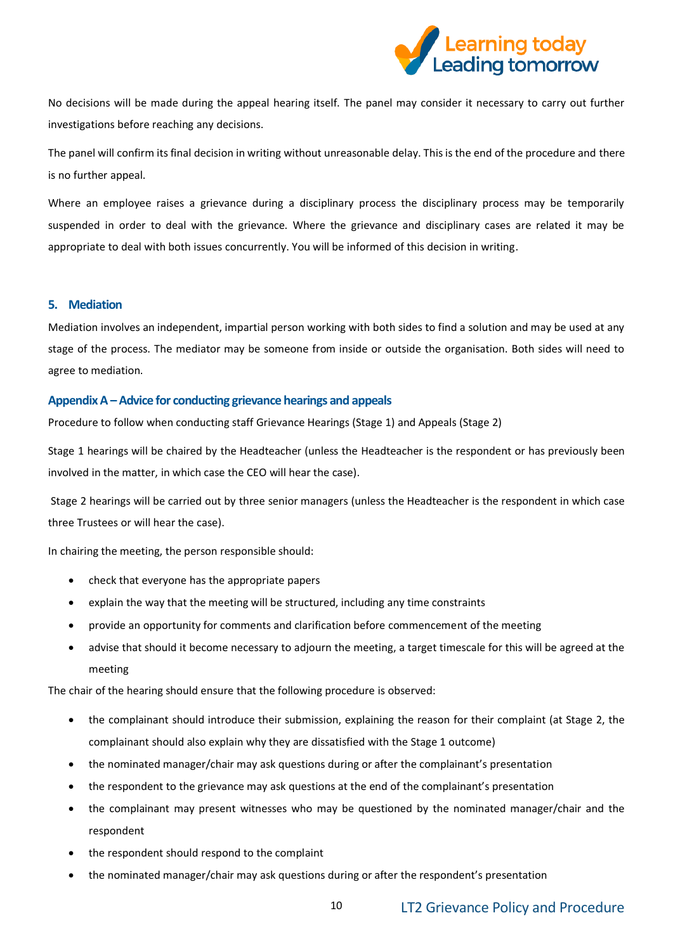

No decisions will be made during the appeal hearing itself. The panel may consider it necessary to carry out further investigations before reaching any decisions.

The panel will confirm its final decision in writing without unreasonable delay. This is the end of the procedure and there is no further appeal.

Where an employee raises a grievance during a disciplinary process the disciplinary process may be temporarily suspended in order to deal with the grievance. Where the grievance and disciplinary cases are related it may be appropriate to deal with both issues concurrently. You will be informed of this decision in writing.

#### <span id="page-9-0"></span>**5. Mediation**

Mediation involves an independent, impartial person working with both sides to find a solution and may be used at any stage of the process. The mediator may be someone from inside or outside the organisation. Both sides will need to agree to mediation.

## <span id="page-9-1"></span>**Appendix A –Advice for conducting grievance hearings and appeals**

Procedure to follow when conducting staff Grievance Hearings (Stage 1) and Appeals (Stage 2)

Stage 1 hearings will be chaired by the Headteacher (unless the Headteacher is the respondent or has previously been involved in the matter, in which case the CEO will hear the case).

Stage 2 hearings will be carried out by three senior managers (unless the Headteacher is the respondent in which case three Trustees or will hear the case).

In chairing the meeting, the person responsible should:

- check that everyone has the appropriate papers
- explain the way that the meeting will be structured, including any time constraints
- provide an opportunity for comments and clarification before commencement of the meeting
- advise that should it become necessary to adjourn the meeting, a target timescale for this will be agreed at the meeting

The chair of the hearing should ensure that the following procedure is observed:

- the complainant should introduce their submission, explaining the reason for their complaint (at Stage 2, the complainant should also explain why they are dissatisfied with the Stage 1 outcome)
- the nominated manager/chair may ask questions during or after the complainant's presentation
- the respondent to the grievance may ask questions at the end of the complainant's presentation
- the complainant may present witnesses who may be questioned by the nominated manager/chair and the respondent
- the respondent should respond to the complaint
- the nominated manager/chair may ask questions during or after the respondent's presentation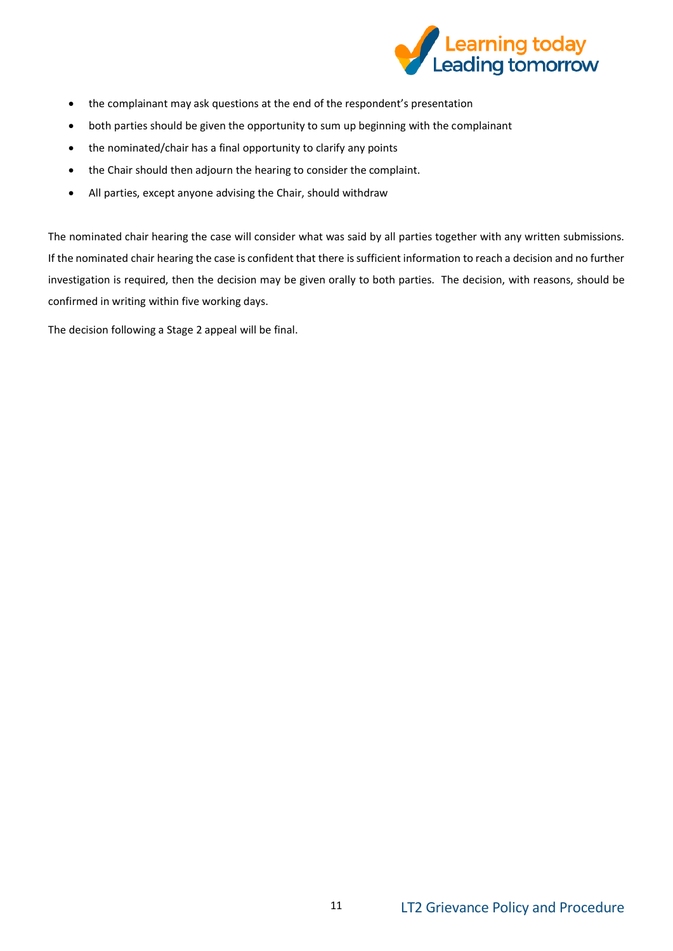

- the complainant may ask questions at the end of the respondent's presentation
- both parties should be given the opportunity to sum up beginning with the complainant
- the nominated/chair has a final opportunity to clarify any points
- the Chair should then adjourn the hearing to consider the complaint.
- All parties, except anyone advising the Chair, should withdraw

The nominated chair hearing the case will consider what was said by all parties together with any written submissions. If the nominated chair hearing the case is confident that there is sufficient information to reach a decision and no further investigation is required, then the decision may be given orally to both parties. The decision, with reasons, should be confirmed in writing within five working days.

The decision following a Stage 2 appeal will be final.